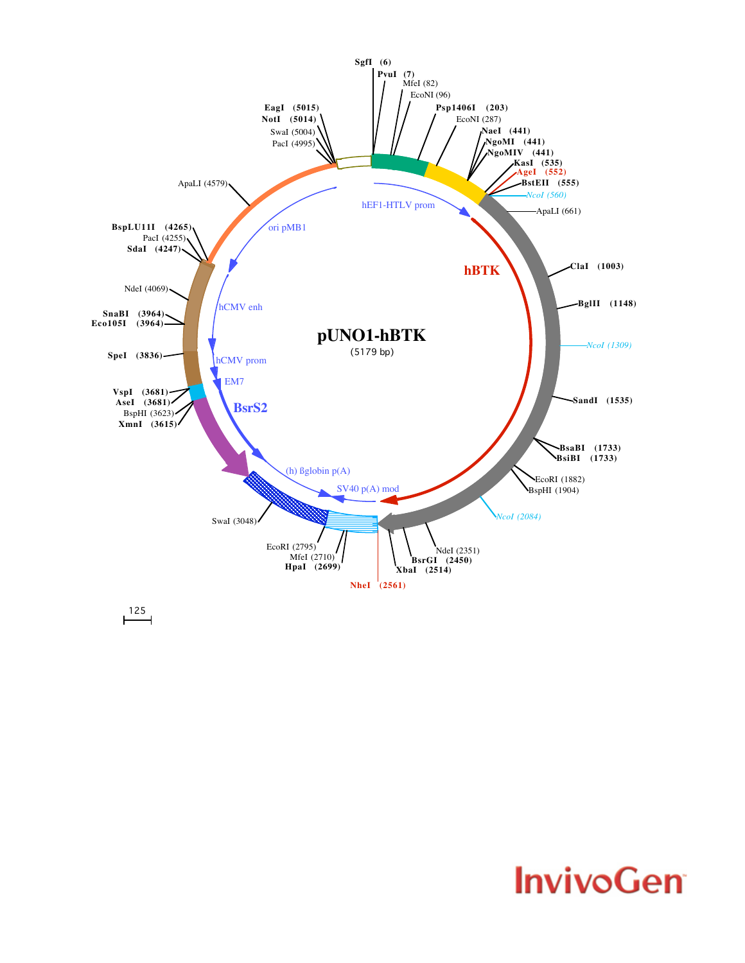

 $\overline{125}$ 

## **InvivoGen**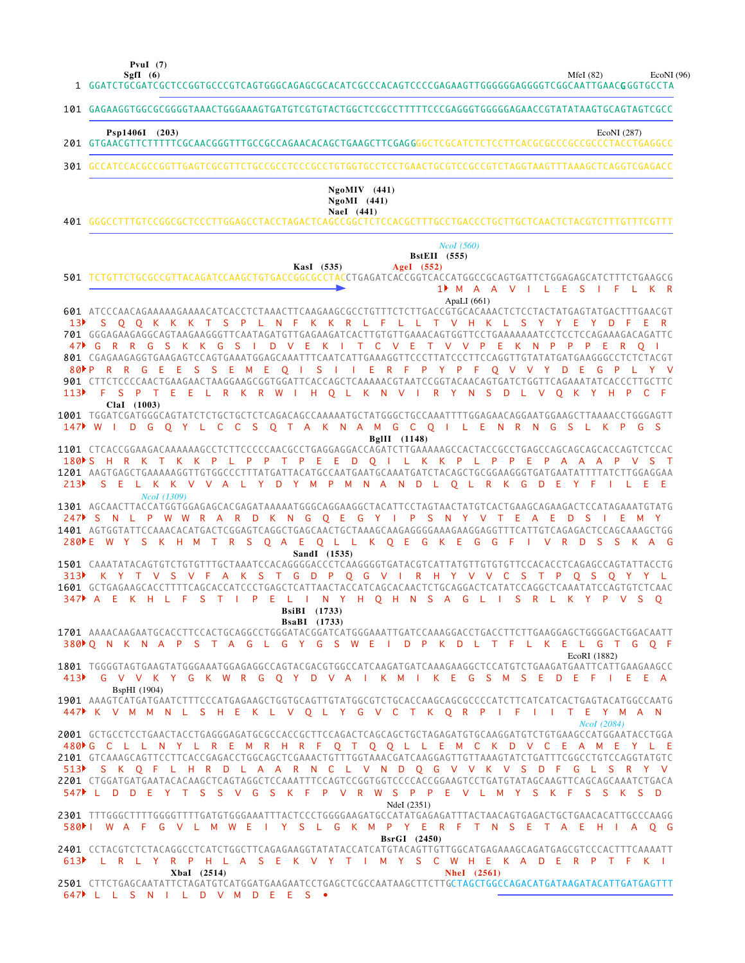**SgfI (6) PvuI (7)**

MfeI (82) EcoNI (96)

|     | 1 GGATCTGCGATCGCTCCGGTGCCCGTCAGTGGGCAGAGCGCACATCGCCCACAGTCCCCGAGAAGTTGGGGGGAGGGTCGGCAATTGAAC <b>G</b> GGTGCCTA                                                                                                                                                                                                                                                                                                                                                                                                                                                                                                                 |
|-----|--------------------------------------------------------------------------------------------------------------------------------------------------------------------------------------------------------------------------------------------------------------------------------------------------------------------------------------------------------------------------------------------------------------------------------------------------------------------------------------------------------------------------------------------------------------------------------------------------------------------------------|
|     | 101 GAGAAGGTGGCGCGGGGTAAACTGGGAAAGTGATGTCGTGTACTGGCTCCGCCTTTTTCCCGAGGGTGGGGAGAACCGTATATAAGTGCAGTAGTCGCC                                                                                                                                                                                                                                                                                                                                                                                                                                                                                                                        |
|     | Psp1406I (203)<br>EcoNI (287)                                                                                                                                                                                                                                                                                                                                                                                                                                                                                                                                                                                                  |
|     | 301 GCCATCCACGCCGGTTGAGTCGCGTTCTGCCGCCTCCCGCCTGTGGTGCCTCCTGAACTGCGTCCGCCGTCTAGGTAAGTTTAAAGCTCAGGTCGAGACC                                                                                                                                                                                                                                                                                                                                                                                                                                                                                                                       |
|     | $NgoMIV$ (441)<br>$NgoMI$ (441)<br>NaeI (441)                                                                                                                                                                                                                                                                                                                                                                                                                                                                                                                                                                                  |
|     | Ncol(560)<br><b>BstEII</b> (555)<br>AgeI $(552)$<br>KasI (535)<br>501 TCTGTTCTGCGCCGTTACAGATCCAAGCTGTGACCGGCGCCTACCTGAGATCACCGGTCACCATGGCCGCAGTGATTCTGGAGAGCATCTTTCTGAAGCG<br>1 M A A V I L E S I F L K R                                                                                                                                                                                                                                                                                                                                                                                                                      |
|     | ApaLI $(661)$<br>601 ATCCCAACAGAAAAAGAAAACATCACCTCTAAACTTCAAGAAGCGCCTGTTTCTCTTGACCGTGCACAAACTCTCCTACTATGAGTATGACTTTGAACGT<br>S O O K K K T S P L N F K K R L F L L T V H K L S Y Y E Y D F E<br>701 GGGAGAAGAGGCAGTAAGAAGGGTTCAATAGATGTTGAGAAGATCACTTGTGTTGAAACAGTGGTTCCTGAAAAAAATCCTCCTCCAGAAAGACAGATTC<br>47 GRRGSKKGSIDVEKITCVETVVPEKNPPPEROI<br>801 CGAGAAGAGGTGAAGAGTCCAGTGAAATGGAGCAAATTTCAATCATTGAAAGGTTCCCTTATCCCTTCCAGGTTGTATATGATGAAGGGCCTCTCTACGT<br>80 PRRGEES SEMEOIS I I ERFPY PFOV V Y DE G P L Y V<br>901 CTTCTCCCCAACTGAAGAACTAAGGAAGCGGTGGATTCACCAGCTCAAAAACGTAATCCGGTACAACAGTGATCTGGTTCAGAAATATCACCCTTGCTTC |
|     | 113D F S P T E E L R K R W I H O L K N V I R Y N S D L V O K Y H P C F<br>ClaI (1003)<br>1001 TGGATCGATGGGCAGTATCTCTGCTGCTCTCAGACAGCCAAAAATGCTATGGGCTGCCAAATTTTGGAGAACAGGAATGGAAGCTTAAAACCTGGGAGTT<br>147 WIDGOYLCCS OT AKNAM GCOILENR NGSLKP GS                                                                                                                                                                                                                                                                                                                                                                               |
| 213 | BgIII (1148)<br>1101 CTCACCGGAAGACAAAAAAGCCTCTTCCCCCAACGCCTGAGGAGGACCAGATCTTGAAAAAGCCACTACCGCCTGAGCCAGCAGCAGCAGCAGTCTCCAC<br>180 S H R K T K K P L P P T P E E D Q I L K K P L P P E P A A A P V S T<br>S E L K K V V A L Y D Y M P M N A N D L O L R K G D E Y F I L E E<br>NcoI (1309)                                                                                                                                                                                                                                                                                                                                       |
|     | 1301 AGCAACTTACCATGGTGGAGAGCACGAGATAAAAATGGGCAGGAAGGCTACATTCCTAGTAACTATGTCACTGAAGCAGAAGACTCCATAGAAATGTATG<br>247 SNL PWWRARD KNG OEGY I PSNYVTEAED SIEMY<br>1401 AGTGGTATTCCAAACACATGACTCGGAGTCAGGCTGAGCAACTGCTAAAGCAAGAGGGGAAAGGAGGTTTCATTGTCAGAGACTCCAGCAAAGCTGG<br>TRS Q A E Q L L K Q E G K E G G F I V R D S S K A G<br>280 E W Y S K H M<br>SandI (1535)                                                                                                                                                                                                                                                                 |
|     | 1501 CAAATATACAGTGTCTGTGTTTGCTAAATCCACAGGGGACCCTCAAGGGGTGATACGTCATTATGTTGTGTGTTCCACACCTCAGAGCCAGTATTACCTG<br>313) K Y T V S V F A K S T G D P Q G V I R H Y V V C S T P Q S Q Y Y L<br>1601 GCTGAGAAGCACCTTTTCAGCACCATCCCTGAGCTCATTAACTACCATCAGCACAACTCTGCAGGACTCATATCCAGGCTCAAATATCCAGTGTCTCAAC<br>$\mathsf{I}$ P E<br><b>Lating</b><br>N Y H O H N S A G L I S R L K Y P V S<br>$347$ A E<br>K H L F<br>S T                                                                                                                                                                                                                  |
|     | <b>BsiBI</b> (1733)<br><b>BsaBI</b> (1733)<br>1701 AAAACAAGAATGCACCTTCCACTGCAGGCCTGGGATACGGATCATGGGAAATTGATCCAAAGGACCTGACCTTCTTGAAGGAGCTGGGGACTGGACAATT<br>380 ON K N A P S T A G L G Y G S W E I D P K D L T F L K E L G T G O F<br>EcoRI (1882)<br>1801 TGGGGTAGTGAAGTATGGGAAATGGAGAGGCCAGTACGACGTGGCCATCAAGATGATCAAAGAAGGCTCCATGTCTGAAGATGAATTCATTGAAGAAGCC<br>413 C V V K Y G K W R G Q Y D V A I K M I K E G S M S E D E F I E E A                                                                                                                                                                                        |
|     | BspHI (1904)<br>1901 AAAGTCATGATGAATCTTTCCCATGAGAAGCTGGTGCAGTTGTATGGCGTCTGCACCAAGCAGCGCCCCATCTTCATCATCACTGAGTACATGGCCAATG<br>447 K V M M N L S H E K L V Q L Y G V C T K Q R P I F I I T E Y M A N<br>Ncol (2084)<br>2001 GCTGCCTCCTGAACTACCTGAGGGAGATGCGCCACCGCTTCCAGACTCAGCAGCTGCTAGAGATGTGCAAGGATGTCTGTGAAGCCATGGAATACCTGGA                                                                                                                                                                                                                                                                                                 |
|     | 480▶G C L L N Y L R E M R H R F Q T Q Q L L E M C K D V C E A M E Y L E<br>2101 GTCAAAGCAGTTCCTTCACCGAGACCTGGCAGCTCGAAACTGTTTGGTAAACGATCAAGGAGTTGTTAAAGTATCTGATTTCGGCCTGTCCAGGTATGTC<br>513 SK Q F L H R D L A A R N C L V N D Q G V V K V S D F G L S R Y V<br>2201 CTGGATGATGATACACAAGCTCAGTAGGCTCCAAATTTCCAGTCCGGTGGTCCCCACCGGAAGTCCTGATGTATAGCAAGTTCAGCAGCAAATCTGACA<br>547 L D D E Y T S S V G S K F P V R W S P P E V L M Y S K F S S K S D<br>NdeI (2351)                                                                                                                                                               |
|     | 2301 TTTGGGCTTTTGGGGTTTTGATGTGGGAAATTTACTCCCTGGGGAAGATGCCATATGAGAGATTTACTAACAGTGAGACTGCTGAACACATTGCCCAAGG<br>580 N A F G V L M W E I Y S L G K M P Y E R F T N S E T A E H I A O G<br>BsrGI (2450)<br>2401 CCTACGTCTCTACAGGCCTCATCTGGCTTCAGAGAAGGTATATACCATCATGTACAGTTGTTGGCATGAGAAAGCAGATGAGCGTCCCACTTTCAAAATT                                                                                                                                                                                                                                                                                                                |
|     | 613 LRLYRPHLASEKVYTIMYSCWHEKADERPTFKI<br>XbaI (2514)<br><b>NheI</b> (2561)<br>2501 CTTCTGAGCAATATTCTAGATGTCATGGATGAAGAATCCTGAGCTCGCCAATAAGCTTCTTGCTAGCTGGCCAGACATGATAAGATACATTGATGAGTTT                                                                                                                                                                                                                                                                                                                                                                                                                                        |
|     | 647 L L S N I L D V M D E E S .                                                                                                                                                                                                                                                                                                                                                                                                                                                                                                                                                                                                |